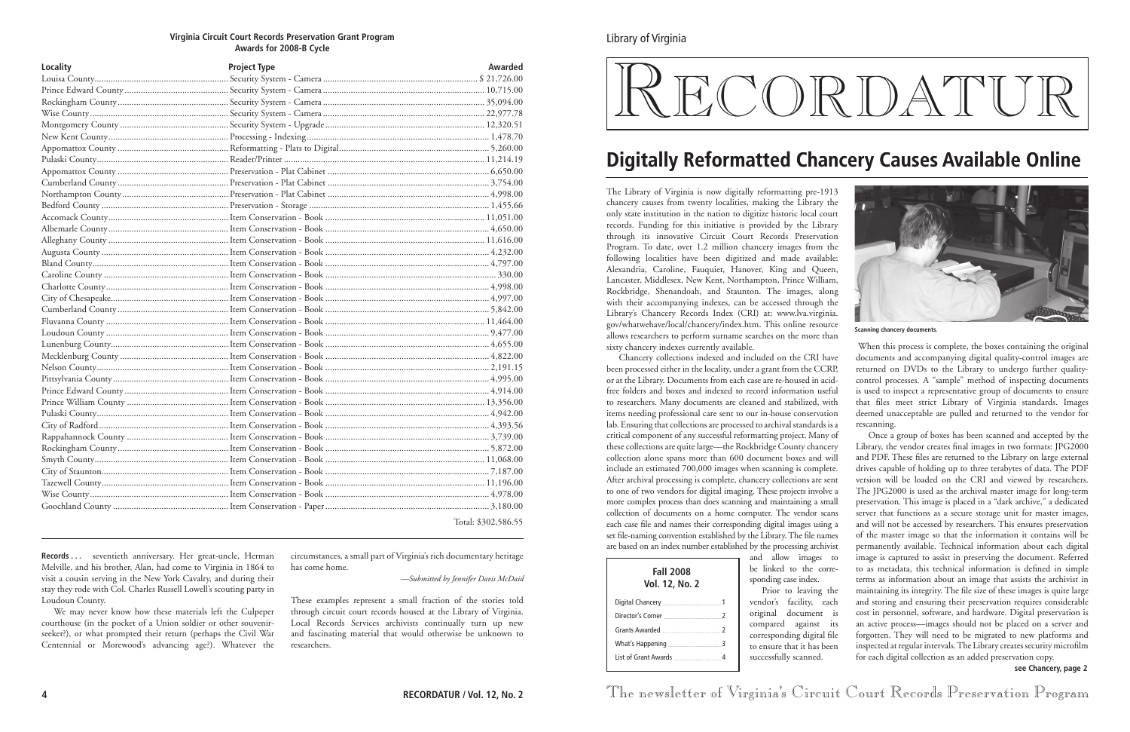critical component of any successful reformatting project. Many of these collections are quite large—the Rockbridge County chancery collection alone spans more than 600 document boxes and will include an estimated 700,000 images when scanning is complete. After archival processing is complete, chancery collections are sent to one of two vendors for digital imaging. These projects involve a more complex process than does scanning and maintaining a small collection of documents on a home computer. The vendor scans each case file and names their corresponding digital images using a set file-naming convention established by the Library. The file names are based on an index number established by the processing archivist

and allow images to be linked to the corresponding case index. Prior to leaving the

vendor's facility, each original document is compared against its corresponding digital file to ensure that it has been successfully scanned.

| <b>Fall 2008</b><br><b>Vol. 12, No. 2</b> | S |
|-------------------------------------------|---|
|                                           |   |
|                                           |   |
|                                           |   |
|                                           |   |
|                                           |   |
|                                           |   |

Once a group of boxes has been scanned and accepted by the Library, the vendor creates final images in two formats: JPG2000 and PDF. These files are returned to the Library on large external drives capable of holding up to three terabytes of data. The PDF version will be loaded on the CRI and viewed by researchers. The JPG2000 is used as the archival master image for long-term preservation. This image is placed in a "dark archive," a dedicated server that functions as a secure storage unit for master images, and will not be accessed by researchers. This ensures preservation of the master image so that the information it contains will be permanently available. Technical information about each digital image is captured to assist in preserving the document. Referred to as metadata, this technical information is defined in simple terms as information about an image that assists the archivist in maintaining its integrity. The file size of these images is quite large and storing and ensuring their preservation requires considerable cost in personnel, software, and hardware. Digital preservation is an active process—images should not be placed on a server and forgotten. They will need to be migrated to new platforms and inspected at regular intervals. The Library creates security microfilm for each digital collection as an added preservation copy.

Library of Virginia

# RECORDATU

The newsletter of Virginia's Circuit Court Records Preservation Program

## **Digitally Reformatted Chancery Causes Available Online**



**see Chancery, page 2**

#### **Virginia Circuit Court Records Preservation Grant Program Awards for 2008-B Cycle**

The Library of Virginia is now digitally reformatting pre-1913 chancery causes from twenty localities, making the Library the only state institution in the nation to digitize historic local court records. Funding for this initiative is provided by the Library through its innovative Circuit Court Records Preservation Program. To date, over 1.2 million chancery images from the following localities have been digitized and made available: Alexandria, Caroline, Fauquier, Hanover, King and Queen, Lancaster, Middlesex, New Kent, Northampton, Prince William, Rockbridge, Shenandoah, and Staunton. The images, along with their accompanying indexes, can be accessed through the Library's Chancery Records Index (CRI) at: www.lva.virginia. gov/whatwehave/local/chancery/index.htm. This online resource allows researchers to perform surname searches on the more than sixty chancery indexes currently available. Chancery collections indexed and included on the CRI have been processed either in the locality, under a grant from the CCRP, or at the Library. Documents from each case are re-housed in acidfree folders and boxes and indexed to record information useful to researchers. Many documents are cleaned and stabilized, with items needing professional care sent to our in-house conservation lab. Ensuring that collections are processed to archival standards is a When this process is complete, the boxes containing the original documents and accompanying digital quality-control images are returned on DVDs to the Library to undergo further qualitycontrol processes. A "sample" method of inspecting documents is used to inspect a representative group of documents to ensure that files meet strict Library of Virginia standards. Images deemed unacceptable are pulled and returned to the vendor for rescanning. **Scanning chancery documents.**

Records ... seventieth anniversary. Her great-uncle, Herman Melville, and his brother, Alan, had come to Virginia in 1864 to visit a cousin serving in the New York Cavalry, and during their stay they rode with Col. Charles Russell Lowell's scouting party in Loudoun County.

| Locality | <b>Project Type</b> | <b>Awarded</b>      |
|----------|---------------------|---------------------|
|          |                     |                     |
|          |                     |                     |
|          |                     |                     |
|          |                     |                     |
|          |                     |                     |
|          |                     |                     |
|          |                     |                     |
|          |                     |                     |
|          |                     |                     |
|          |                     |                     |
|          |                     |                     |
|          |                     |                     |
|          |                     |                     |
|          |                     |                     |
|          |                     |                     |
|          |                     |                     |
|          |                     |                     |
|          |                     |                     |
|          |                     |                     |
|          |                     |                     |
|          |                     |                     |
|          |                     |                     |
|          |                     |                     |
|          |                     |                     |
|          |                     |                     |
|          |                     |                     |
|          |                     |                     |
|          |                     |                     |
|          |                     |                     |
|          |                     |                     |
|          |                     |                     |
|          |                     |                     |
|          |                     |                     |
|          |                     |                     |
|          |                     |                     |
|          |                     |                     |
|          |                     |                     |
|          |                     |                     |
|          |                     | Total: \$302,586.55 |

We may never know how these materials left the Culpeper courthouse (in the pocket of a Union soldier or other souvenirseeker?), or what prompted their return (perhaps the Civil War Centennial or Morewood's advancing age?). Whatever the circumstances, a small part of Virginia's rich documentary heritage has come home.

*—Submitted by Jennifer Davis McDaid*

These examples represent a small fraction of the stories told through circuit court records housed at the Library of Virginia. Local Records Services archivists continually turn up new and fascinating material that would otherwise be unknown to researchers.